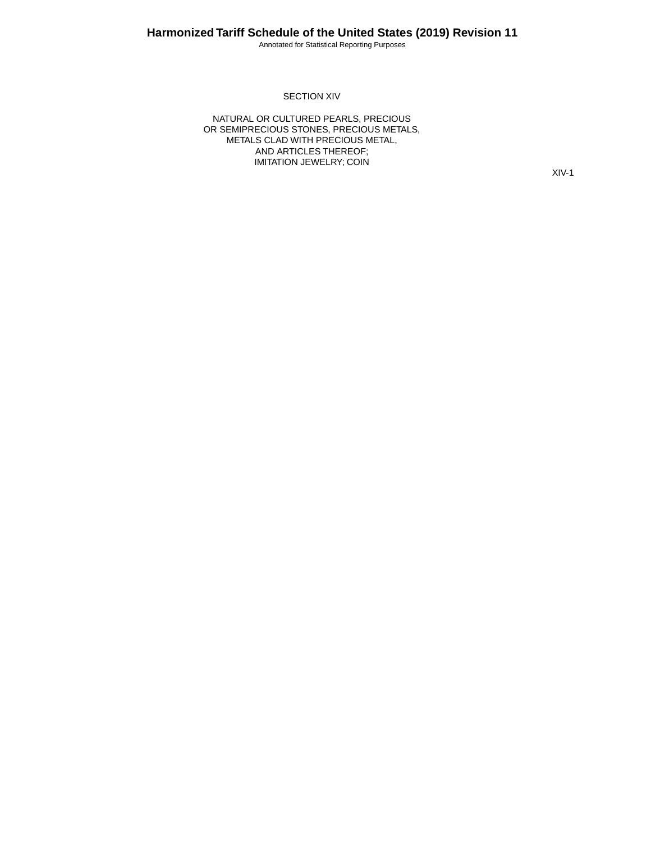Annotated for Statistical Reporting Purposes

#### SECTION XIV

NATURAL OR CULTURED PEARLS, PRECIOUS OR SEMIPRECIOUS STONES, PRECIOUS METALS, METALS CLAD WITH PRECIOUS METAL, AND ARTICLES THEREOF; IMITATION JEWELRY; COIN

XIV-1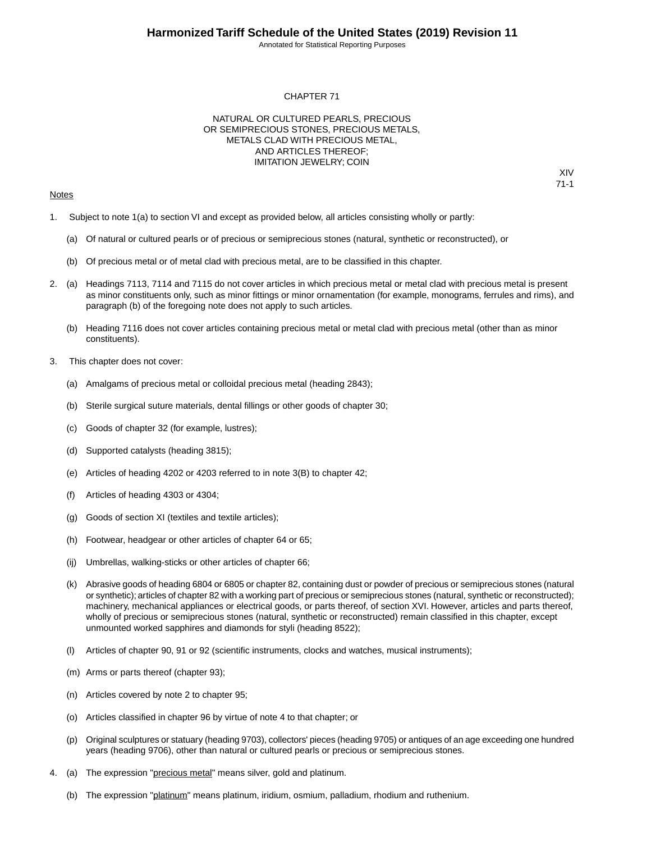Annotated for Statistical Reporting Purposes

XIV 71-1

#### CHAPTER 71

#### NATURAL OR CULTURED PEARLS, PRECIOUS OR SEMIPRECIOUS STONES, PRECIOUS METALS, METALS CLAD WITH PRECIOUS METAL, AND ARTICLES THEREOF; IMITATION JEWELRY; COIN

#### Notes

1. Subject to note 1(a) to section VI and except as provided below, all articles consisting wholly or partly:

- (a) Of natural or cultured pearls or of precious or semiprecious stones (natural, synthetic or reconstructed), or
- (b) Of precious metal or of metal clad with precious metal, are to be classified in this chapter.
- 2. (a) Headings 7113, 7114 and 7115 do not cover articles in which precious metal or metal clad with precious metal is present as minor constituents only, such as minor fittings or minor ornamentation (for example, monograms, ferrules and rims), and paragraph (b) of the foregoing note does not apply to such articles.
	- (b) Heading 7116 does not cover articles containing precious metal or metal clad with precious metal (other than as minor constituents).
- 3. This chapter does not cover:
	- (a) Amalgams of precious metal or colloidal precious metal (heading 2843);
	- (b) Sterile surgical suture materials, dental fillings or other goods of chapter 30;
	- (c) Goods of chapter 32 (for example, lustres);
	- (d) Supported catalysts (heading 3815);
	- (e) Articles of heading 4202 or 4203 referred to in note 3(B) to chapter 42;
	- (f) Articles of heading 4303 or 4304;
	- (g) Goods of section XI (textiles and textile articles);
	- (h) Footwear, headgear or other articles of chapter 64 or 65;
	- (ij) Umbrellas, walking-sticks or other articles of chapter 66;
	- (k) Abrasive goods of heading 6804 or 6805 or chapter 82, containing dust or powder of precious or semiprecious stones (natural or synthetic); articles of chapter 82 with a working part of precious or semiprecious stones (natural, synthetic or reconstructed); machinery, mechanical appliances or electrical goods, or parts thereof, of section XVI. However, articles and parts thereof, wholly of precious or semiprecious stones (natural, synthetic or reconstructed) remain classified in this chapter, except unmounted worked sapphires and diamonds for styli (heading 8522);
	- (l) Articles of chapter 90, 91 or 92 (scientific instruments, clocks and watches, musical instruments);
	- (m) Arms or parts thereof (chapter 93);
	- (n) Articles covered by note 2 to chapter 95;
	- (o) Articles classified in chapter 96 by virtue of note 4 to that chapter; or
	- (p) Original sculptures or statuary (heading 9703), collectors' pieces (heading 9705) or antiques of an age exceeding one hundred years (heading 9706), other than natural or cultured pearls or precious or semiprecious stones.
- 4. (a) The expression "precious metal" means silver, gold and platinum.
	- (b) The expression "platinum" means platinum, iridium, osmium, palladium, rhodium and ruthenium.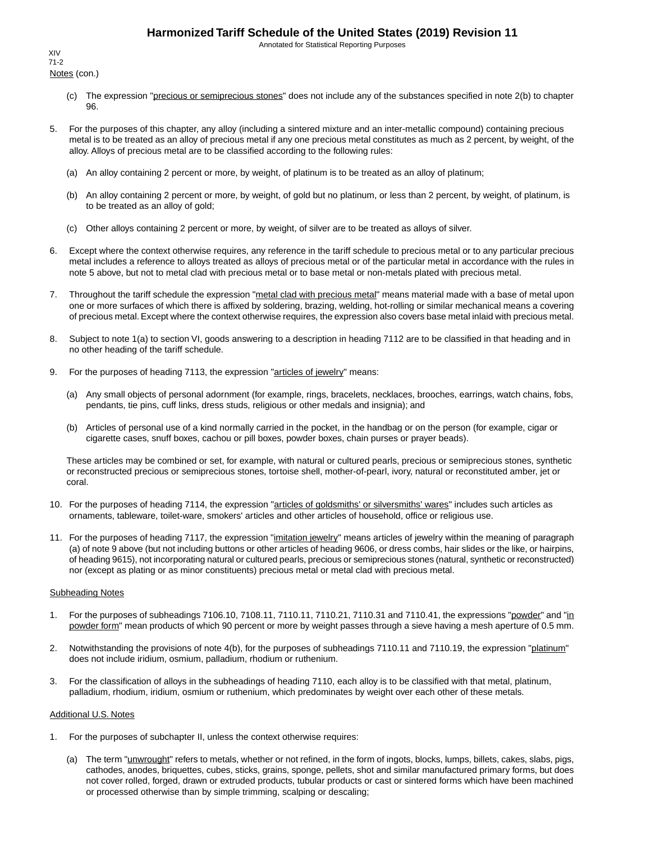Annotated for Statistical Reporting Purposes

Notes (con.) XIV 71-2

- (c) The expression "precious or semiprecious stones" does not include any of the substances specified in note 2(b) to chapter 96.
- 5. For the purposes of this chapter, any alloy (including a sintered mixture and an inter-metallic compound) containing precious metal is to be treated as an alloy of precious metal if any one precious metal constitutes as much as 2 percent, by weight, of the alloy. Alloys of precious metal are to be classified according to the following rules:
	- (a) An alloy containing 2 percent or more, by weight, of platinum is to be treated as an alloy of platinum;
	- (b) An alloy containing 2 percent or more, by weight, of gold but no platinum, or less than 2 percent, by weight, of platinum, is to be treated as an alloy of gold;
	- (c) Other alloys containing 2 percent or more, by weight, of silver are to be treated as alloys of silver.
- 6. Except where the context otherwise requires, any reference in the tariff schedule to precious metal or to any particular precious metal includes a reference to alloys treated as alloys of precious metal or of the particular metal in accordance with the rules in note 5 above, but not to metal clad with precious metal or to base metal or non-metals plated with precious metal.
- 7. Throughout the tariff schedule the expression "metal clad with precious metal" means material made with a base of metal upon one or more surfaces of which there is affixed by soldering, brazing, welding, hot-rolling or similar mechanical means a covering of precious metal. Except where the context otherwise requires, the expression also covers base metal inlaid with precious metal.
- 8. Subject to note 1(a) to section VI, goods answering to a description in heading 7112 are to be classified in that heading and in no other heading of the tariff schedule.
- 9. For the purposes of heading 7113, the expression "articles of jewelry" means:
	- (a) Any small objects of personal adornment (for example, rings, bracelets, necklaces, brooches, earrings, watch chains, fobs, pendants, tie pins, cuff links, dress studs, religious or other medals and insignia); and
	- (b) Articles of personal use of a kind normally carried in the pocket, in the handbag or on the person (for example, cigar or cigarette cases, snuff boxes, cachou or pill boxes, powder boxes, chain purses or prayer beads).

These articles may be combined or set, for example, with natural or cultured pearls, precious or semiprecious stones, synthetic or reconstructed precious or semiprecious stones, tortoise shell, mother-of-pearl, ivory, natural or reconstituted amber, jet or coral.

- 10. For the purposes of heading 7114, the expression "articles of goldsmiths' or silversmiths' wares" includes such articles as ornaments, tableware, toilet-ware, smokers' articles and other articles of household, office or religious use.
- 11. For the purposes of heading 7117, the expression "imitation jewelry" means articles of jewelry within the meaning of paragraph (a) of note 9 above (but not including buttons or other articles of heading 9606, or dress combs, hair slides or the like, or hairpins, of heading 9615), not incorporating natural or cultured pearls, precious or semiprecious stones (natural, synthetic or reconstructed) nor (except as plating or as minor constituents) precious metal or metal clad with precious metal.

#### Subheading Notes

- 1. For the purposes of subheadings 7106.10, 7108.11, 7110.11, 7110.21, 7110.31 and 7110.41, the expressions "powder" and "in powder form" mean products of which 90 percent or more by weight passes through a sieve having a mesh aperture of 0.5 mm.
- 2. Notwithstanding the provisions of note 4(b), for the purposes of subheadings 7110.11 and 7110.19, the expression "platinum" does not include iridium, osmium, palladium, rhodium or ruthenium.
- 3. For the classification of alloys in the subheadings of heading 7110, each alloy is to be classified with that metal, platinum, palladium, rhodium, iridium, osmium or ruthenium, which predominates by weight over each other of these metals.

#### Additional U.S. Notes

- 1. For the purposes of subchapter II, unless the context otherwise requires:
	- (a) The term "unwrought" refers to metals, whether or not refined, in the form of ingots, blocks, lumps, billets, cakes, slabs, pigs, cathodes, anodes, briquettes, cubes, sticks, grains, sponge, pellets, shot and similar manufactured primary forms, but does not cover rolled, forged, drawn or extruded products, tubular products or cast or sintered forms which have been machined or processed otherwise than by simple trimming, scalping or descaling;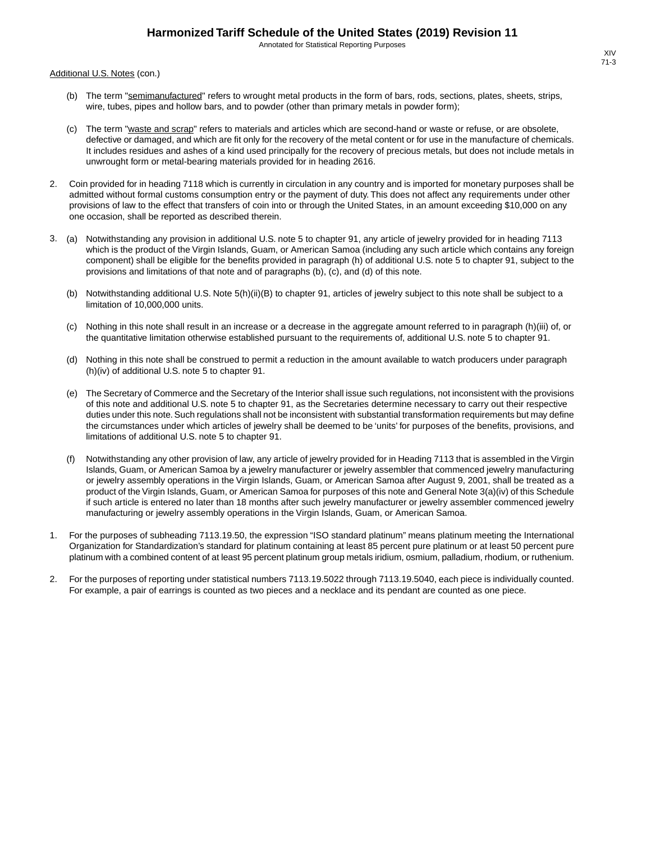Annotated for Statistical Reporting Purposes

Additional U.S. Notes (con.)

- (b) The term "semimanufactured" refers to wrought metal products in the form of bars, rods, sections, plates, sheets, strips, wire, tubes, pipes and hollow bars, and to powder (other than primary metals in powder form);
- (c) The term "waste and scrap" refers to materials and articles which are second-hand or waste or refuse, or are obsolete, defective or damaged, and which are fit only for the recovery of the metal content or for use in the manufacture of chemicals. It includes residues and ashes of a kind used principally for the recovery of precious metals, but does not include metals in unwrought form or metal-bearing materials provided for in heading 2616.
- 2. Coin provided for in heading 7118 which is currently in circulation in any country and is imported for monetary purposes shall be admitted without formal customs consumption entry or the payment of duty. This does not affect any requirements under other provisions of law to the effect that transfers of coin into or through the United States, in an amount exceeding \$10,000 on any one occasion, shall be reported as described therein.
- 3. (a) Notwithstanding any provision in additional U.S. note 5 to chapter 91, any article of jewelry provided for in heading 7113 which is the product of the Virgin Islands, Guam, or American Samoa (including any such article which contains any foreign component) shall be eligible for the benefits provided in paragraph (h) of additional U.S. note 5 to chapter 91, subject to the provisions and limitations of that note and of paragraphs (b), (c), and (d) of this note.
	- (b) Notwithstanding additional U.S. Note 5(h)(ii)(B) to chapter 91, articles of jewelry subject to this note shall be subject to a limitation of 10,000,000 units.
	- (c) Nothing in this note shall result in an increase or a decrease in the aggregate amount referred to in paragraph (h)(iii) of, or the quantitative limitation otherwise established pursuant to the requirements of, additional U.S. note 5 to chapter 91.
	- (d) Nothing in this note shall be construed to permit a reduction in the amount available to watch producers under paragraph (h)(iv) of additional U.S. note 5 to chapter 91.
	- (e) The Secretary of Commerce and the Secretary of the Interior shall issue such regulations, not inconsistent with the provisions of this note and additional U.S. note 5 to chapter 91, as the Secretaries determine necessary to carry out their respective duties under this note. Such regulations shall not be inconsistent with substantial transformation requirements but may define the circumstances under which articles of jewelry shall be deemed to be 'units' for purposes of the benefits, provisions, and limitations of additional U.S. note 5 to chapter 91.
	- (f) Notwithstanding any other provision of law, any article of jewelry provided for in Heading 7113 that is assembled in the Virgin Islands, Guam, or American Samoa by a jewelry manufacturer or jewelry assembler that commenced jewelry manufacturing or jewelry assembly operations in the Virgin Islands, Guam, or American Samoa after August 9, 2001, shall be treated as a product of the Virgin Islands, Guam, or American Samoa for purposes of this note and General Note 3(a)(iv) of this Schedule if such article is entered no later than 18 months after such jewelry manufacturer or jewelry assembler commenced jewelry manufacturing or jewelry assembly operations in the Virgin Islands, Guam, or American Samoa.
- 1. For the purposes of subheading 7113.19.50, the expression "ISO standard platinum" means platinum meeting the International Organization for Standardization's standard for platinum containing at least 85 percent pure platinum or at least 50 percent pure platinum with a combined content of at least 95 percent platinum group metals iridium, osmium, palladium, rhodium, or ruthenium.
- 2. For the purposes of reporting under statistical numbers 7113.19.5022 through 7113.19.5040, each piece is individually counted. For example, a pair of earrings is counted as two pieces and a necklace and its pendant are counted as one piece.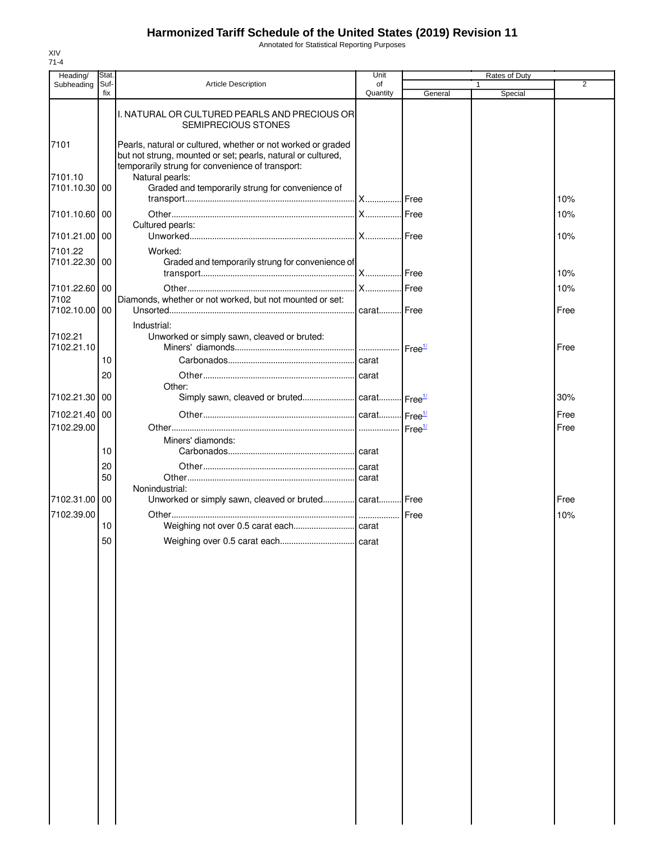Annotated for Statistical Reporting Purposes

| Heading/                 | <b>Stat</b> |                                                                                                                                                                                  | Unit           |                    | <b>Rates of Duty</b> |                |
|--------------------------|-------------|----------------------------------------------------------------------------------------------------------------------------------------------------------------------------------|----------------|--------------------|----------------------|----------------|
| Subheading               | Suf-<br>fix | <b>Article Description</b>                                                                                                                                                       | of<br>Quantity | General            | 1<br>Special         | $\overline{2}$ |
|                          |             | I. NATURAL OR CULTURED PEARLS AND PRECIOUS OR<br><b>SEMIPRECIOUS STONES</b>                                                                                                      |                |                    |                      |                |
| 7101                     |             | Pearls, natural or cultured, whether or not worked or graded<br>but not strung, mounted or set; pearls, natural or cultured,<br>temporarily strung for convenience of transport: |                |                    |                      |                |
| 7101.10<br>7101.10.30    | 00          | Natural pearls:<br>Graded and temporarily strung for convenience of                                                                                                              |                |                    |                      | 10%            |
| 7101.10.60 00            |             |                                                                                                                                                                                  |                |                    |                      | 10%            |
| 7101.21.00               | 00          | Cultured pearls:                                                                                                                                                                 |                |                    |                      | 10%            |
| 7101.22<br>7101.22.30 00 |             | Worked:<br>Graded and temporarily strung for convenience of                                                                                                                      |                |                    |                      |                |
| 7101.22.60 00            |             |                                                                                                                                                                                  |                |                    |                      | 10%<br>10%     |
| 7102                     |             | Diamonds, whether or not worked, but not mounted or set:                                                                                                                         |                |                    |                      |                |
| 7102.10.00 00            |             | Industrial:                                                                                                                                                                      |                |                    |                      | Free           |
| 7102.21<br>7102.21.10    |             | Unworked or simply sawn, cleaved or bruted:                                                                                                                                      |                | Free <sup>1/</sup> |                      | Free           |
|                          | 10          |                                                                                                                                                                                  |                |                    |                      |                |
|                          | 20          | Other:                                                                                                                                                                           |                |                    |                      |                |
| 7102.21.30               | 00          | Simply sawn, cleaved or bruted carat Free <sup>1/</sup>                                                                                                                          |                |                    |                      | 30%            |
| 7102.21.40               | 00          |                                                                                                                                                                                  |                |                    |                      | Free           |
| 7102.29.00               |             | Miners' diamonds:                                                                                                                                                                |                | Free <sup>1/</sup> |                      | Free           |
|                          | 10          |                                                                                                                                                                                  |                |                    |                      |                |
|                          | 20<br>50    |                                                                                                                                                                                  |                |                    |                      |                |
| 7102.31.00               | 00          | Nonindustrial:<br>Unworked or simply sawn, cleaved or bruted carat Free                                                                                                          |                |                    |                      | Free           |
| 7102.39.00               | 10          |                                                                                                                                                                                  |                |                    |                      | 10%            |
|                          | 50          |                                                                                                                                                                                  |                |                    |                      |                |
|                          |             |                                                                                                                                                                                  |                |                    |                      |                |
|                          |             |                                                                                                                                                                                  |                |                    |                      |                |
|                          |             |                                                                                                                                                                                  |                |                    |                      |                |
|                          |             |                                                                                                                                                                                  |                |                    |                      |                |
|                          |             |                                                                                                                                                                                  |                |                    |                      |                |
|                          |             |                                                                                                                                                                                  |                |                    |                      |                |
|                          |             |                                                                                                                                                                                  |                |                    |                      |                |
|                          |             |                                                                                                                                                                                  |                |                    |                      |                |
|                          |             |                                                                                                                                                                                  |                |                    |                      |                |
|                          |             |                                                                                                                                                                                  |                |                    |                      |                |
|                          |             |                                                                                                                                                                                  |                |                    |                      |                |
|                          |             |                                                                                                                                                                                  |                |                    |                      |                |
|                          |             |                                                                                                                                                                                  |                |                    |                      |                |
|                          |             |                                                                                                                                                                                  |                |                    |                      |                |
|                          |             |                                                                                                                                                                                  |                |                    |                      |                |
|                          |             |                                                                                                                                                                                  |                |                    |                      |                |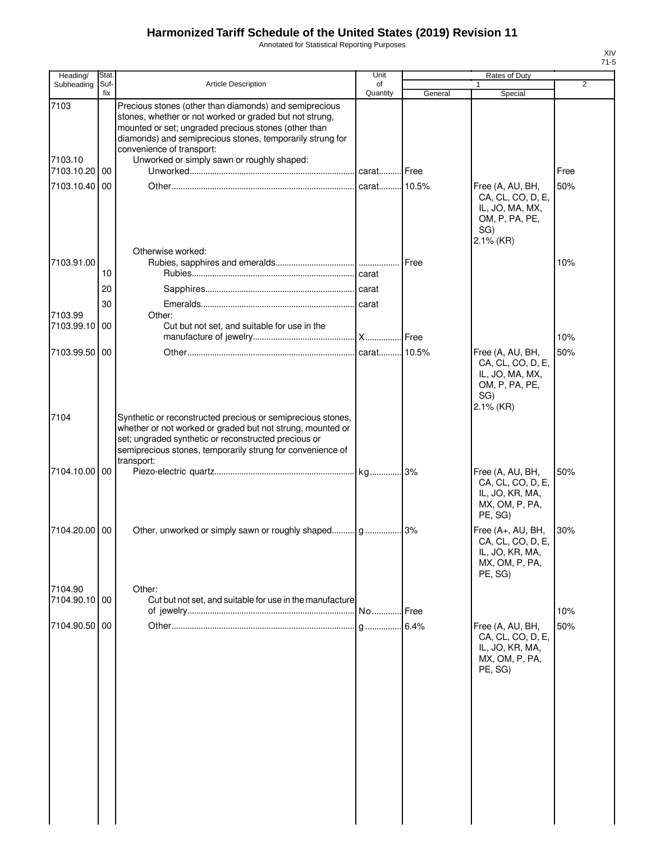Annotated for Statistical Reporting Purposes

| Heading/                      | Stat.       |                                                                                                                                                                                                                                                                                                                   | Unit           |         | Rates of Duty                                                                                     |                |
|-------------------------------|-------------|-------------------------------------------------------------------------------------------------------------------------------------------------------------------------------------------------------------------------------------------------------------------------------------------------------------------|----------------|---------|---------------------------------------------------------------------------------------------------|----------------|
| Subheading                    | Suf-<br>fix | <b>Article Description</b>                                                                                                                                                                                                                                                                                        | of<br>Quantity | General | Special                                                                                           | $\overline{2}$ |
| 7103<br>7103.10<br>7103.10.20 | 00          | Precious stones (other than diamonds) and semiprecious<br>stones, whether or not worked or graded but not strung,<br>mounted or set; ungraded precious stones (other than<br>diamonds) and semiprecious stones, temporarily strung for<br>convenience of transport:<br>Unworked or simply sawn or roughly shaped: |                |         |                                                                                                   | Free           |
| 7103.10.40                    | 00          | Otherwise worked:                                                                                                                                                                                                                                                                                                 |                |         | Free (A, AU, BH,<br>CA, CL, CO, D, E,<br>IL, JO, MA, MX,<br>OM, P, PA, PE,<br>SG)<br>2.1% (KR)    | 50%            |
| 7103.91.00                    |             |                                                                                                                                                                                                                                                                                                                   |                | Free    |                                                                                                   | 10%            |
|                               | 10          |                                                                                                                                                                                                                                                                                                                   |                |         |                                                                                                   |                |
|                               | 20          |                                                                                                                                                                                                                                                                                                                   |                |         |                                                                                                   |                |
| 7103.99                       | 30          | Other:                                                                                                                                                                                                                                                                                                            |                |         |                                                                                                   |                |
| 7103.99.10                    | 00          | Cut but not set, and suitable for use in the                                                                                                                                                                                                                                                                      |                |         |                                                                                                   |                |
|                               |             |                                                                                                                                                                                                                                                                                                                   |                |         |                                                                                                   | 10%            |
| 7103.99.50                    | 00          |                                                                                                                                                                                                                                                                                                                   | carat 10.5%    |         | Free (A, AU, BH,<br>CA, CL, CO, D, E,<br>IL, JO, MA, MX,<br>OM, P, PA, PE,<br>SG)<br>$2.1\%$ (KR) | 50%            |
| 7104                          |             | Synthetic or reconstructed precious or semiprecious stones,<br>whether or not worked or graded but not strung, mounted or<br>set; ungraded synthetic or reconstructed precious or<br>semiprecious stones, temporarily strung for convenience of<br>transport:                                                     |                |         |                                                                                                   |                |
| 7104.10.00                    | 00          |                                                                                                                                                                                                                                                                                                                   |                |         | Free (A, AU, BH,<br>CA, CL, CO, D, E,<br>IL, JO, KR, MA,<br>MX, OM, P, PA,<br>PE, SG)             | 50%            |
| 7104.20.00                    | 00          |                                                                                                                                                                                                                                                                                                                   |                |         | Free (A+, AU, BH,<br>CA, CL, CO, D, E,<br>IL, JO, KR, MA,<br>MX, OM, P, PA,<br>PE, SG)            | 30%            |
| 7104.90                       |             | Other:                                                                                                                                                                                                                                                                                                            |                |         |                                                                                                   |                |
| 7104.90.10 00                 |             | Cut but not set, and suitable for use in the manufacture                                                                                                                                                                                                                                                          |                |         |                                                                                                   |                |
| 7104.90.50                    | 00          |                                                                                                                                                                                                                                                                                                                   |                | Free    | Free (A, AU, BH,                                                                                  | 10%<br>50%     |
|                               |             |                                                                                                                                                                                                                                                                                                                   |                |         | CA, CL, CO, D, E,<br>IL, JO, KR, MA,<br>MX, OM, P, PA,<br>PE, SG)                                 |                |
|                               |             |                                                                                                                                                                                                                                                                                                                   |                |         |                                                                                                   |                |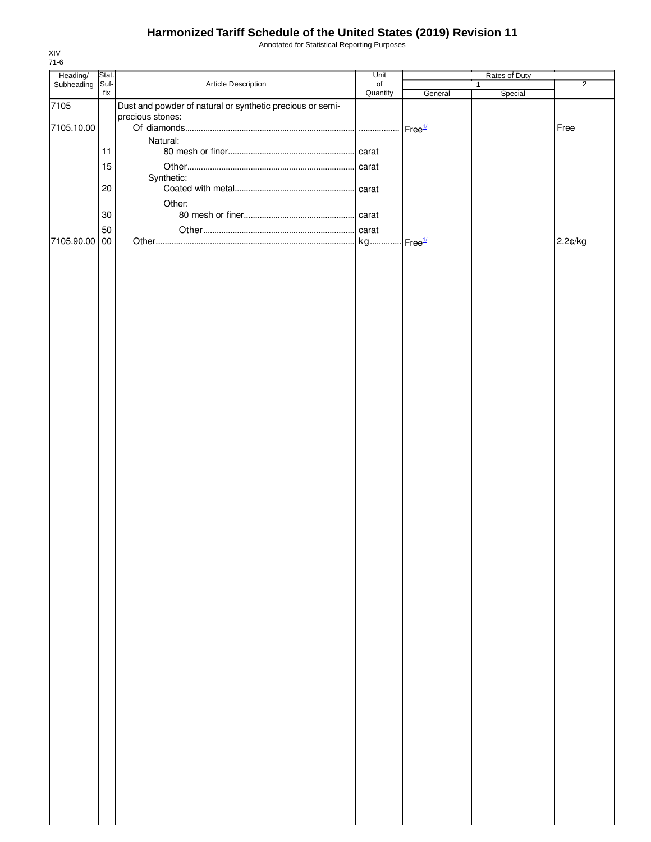Annotated for Statistical Reporting Purposes

| Heading/        | Stat.  |                                                           | Unit           |                            | Rates of Duty           |                |
|-----------------|--------|-----------------------------------------------------------|----------------|----------------------------|-------------------------|----------------|
| Subheading Suf- | fix    | Article Description                                       | of<br>Quantity | General                    | $\mathbf{1}$<br>Special | $\overline{2}$ |
| 7105            |        | Dust and powder of natural or synthetic precious or semi- |                |                            |                         |                |
|                 |        | precious stones:                                          |                |                            |                         |                |
| 7105.10.00      |        | Natural:                                                  |                | $\cdot$ Free <sup>1/</sup> |                         | Free           |
|                 | 11     |                                                           |                |                            |                         |                |
|                 | 15     |                                                           |                |                            |                         |                |
|                 |        | Synthetic:                                                |                |                            |                         |                |
|                 | 20     |                                                           |                |                            |                         |                |
|                 |        | Other:                                                    |                |                            |                         |                |
|                 | $30\,$ |                                                           |                |                            |                         |                |
|                 | 50     |                                                           |                |                            |                         |                |
| 7105.90.00 00   |        |                                                           |                |                            |                         | 2.2¢/kg        |
|                 |        |                                                           |                |                            |                         |                |
|                 |        |                                                           |                |                            |                         |                |
|                 |        |                                                           |                |                            |                         |                |
|                 |        |                                                           |                |                            |                         |                |
|                 |        |                                                           |                |                            |                         |                |
|                 |        |                                                           |                |                            |                         |                |
|                 |        |                                                           |                |                            |                         |                |
|                 |        |                                                           |                |                            |                         |                |
|                 |        |                                                           |                |                            |                         |                |
|                 |        |                                                           |                |                            |                         |                |
|                 |        |                                                           |                |                            |                         |                |
|                 |        |                                                           |                |                            |                         |                |
|                 |        |                                                           |                |                            |                         |                |
|                 |        |                                                           |                |                            |                         |                |
|                 |        |                                                           |                |                            |                         |                |
|                 |        |                                                           |                |                            |                         |                |
|                 |        |                                                           |                |                            |                         |                |
|                 |        |                                                           |                |                            |                         |                |
|                 |        |                                                           |                |                            |                         |                |
|                 |        |                                                           |                |                            |                         |                |
|                 |        |                                                           |                |                            |                         |                |
|                 |        |                                                           |                |                            |                         |                |
|                 |        |                                                           |                |                            |                         |                |
|                 |        |                                                           |                |                            |                         |                |
|                 |        |                                                           |                |                            |                         |                |
|                 |        |                                                           |                |                            |                         |                |
|                 |        |                                                           |                |                            |                         |                |
|                 |        |                                                           |                |                            |                         |                |
|                 |        |                                                           |                |                            |                         |                |
|                 |        |                                                           |                |                            |                         |                |
|                 |        |                                                           |                |                            |                         |                |
|                 |        |                                                           |                |                            |                         |                |
|                 |        |                                                           |                |                            |                         |                |
|                 |        |                                                           |                |                            |                         |                |
|                 |        |                                                           |                |                            |                         |                |
|                 |        |                                                           |                |                            |                         |                |
|                 |        |                                                           |                |                            |                         |                |
|                 |        |                                                           |                |                            |                         |                |
|                 |        |                                                           |                |                            |                         |                |
|                 |        |                                                           |                |                            |                         |                |
|                 |        |                                                           |                |                            |                         |                |
|                 |        |                                                           |                |                            |                         |                |
|                 |        |                                                           |                |                            |                         |                |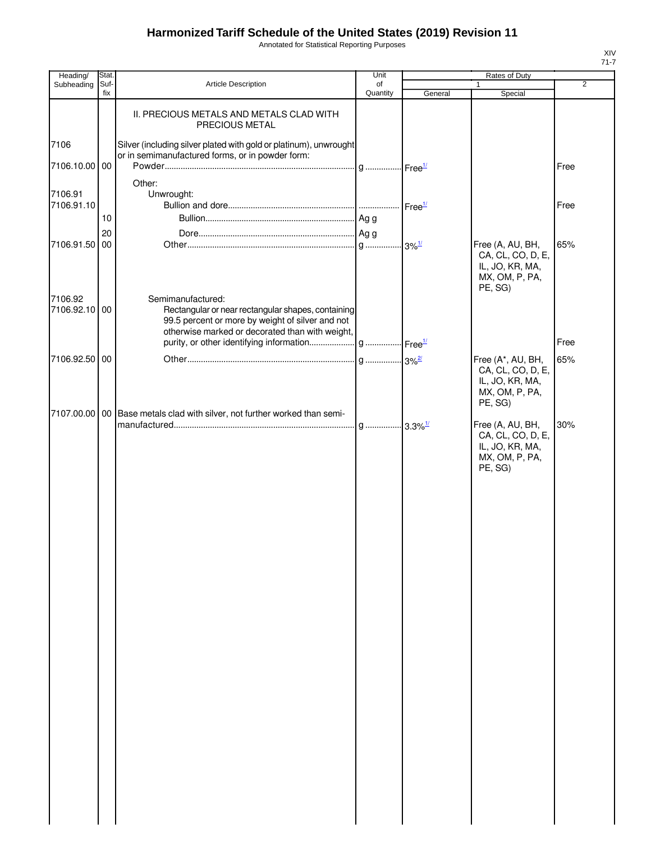Annotated for Statistical Reporting Purposes

| Heading/                 | Stat.       |                                                                                                                                                                                | Unit           |                    | Rates of Duty                                                                          |                |
|--------------------------|-------------|--------------------------------------------------------------------------------------------------------------------------------------------------------------------------------|----------------|--------------------|----------------------------------------------------------------------------------------|----------------|
| Subheading               | Suf-<br>fix | <b>Article Description</b>                                                                                                                                                     | of<br>Quantity | General            | 1<br>Special                                                                           | $\overline{2}$ |
|                          |             | II. PRECIOUS METALS AND METALS CLAD WITH<br>PRECIOUS METAL                                                                                                                     |                |                    |                                                                                        |                |
| 7106                     |             | Silver (including silver plated with gold or platinum), unwrought<br>or in semimanufactured forms, or in powder form:                                                          |                |                    |                                                                                        |                |
| 7106.10.00 00            |             |                                                                                                                                                                                |                |                    |                                                                                        | Free           |
| 7106.91<br>7106.91.10    |             | Other:<br>Unwrought:                                                                                                                                                           |                | Free <sup>1/</sup> |                                                                                        | Free           |
|                          | 10          |                                                                                                                                                                                |                |                    |                                                                                        |                |
| 7106.91.50               | 20<br>00    |                                                                                                                                                                                |                |                    | Free (A, AU, BH,<br>CA, CL, CO, D, E,<br>IL, JO, KR, MA,<br>MX, OM, P, PA,<br>PE, SG)  | 65%            |
| 7106.92<br>7106.92.10 00 |             | Semimanufactured:<br>Rectangular or near rectangular shapes, containing<br>99.5 percent or more by weight of silver and not<br>otherwise marked or decorated than with weight, |                |                    |                                                                                        |                |
|                          |             |                                                                                                                                                                                |                |                    |                                                                                        | Free           |
| 7106.92.50 00            |             |                                                                                                                                                                                |                |                    | Free (A*, AU, BH,<br>CA, CL, CO, D, E,<br>IL, JO, KR, MA,<br>MX, OM, P, PA,<br>PE, SG) | 65%            |
| 7107.00.00               |             | 00 Base metals clad with silver, not further worked than semi-                                                                                                                 |                |                    | Free (A, AU, BH,<br>CA, CL, CO, D, E,<br>IL, JO, KR, MA,<br>MX, OM, P, PA,<br>PE, SG)  | 30%            |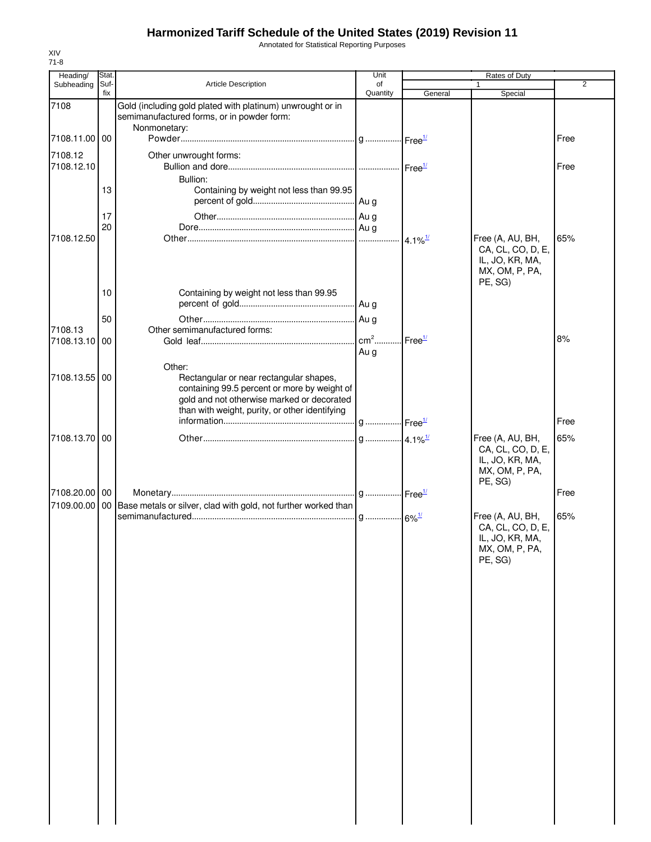Annotated for Statistical Reporting Purposes

| of<br>Quantity | General | Special                                                                               | 2<br>Free        |
|----------------|---------|---------------------------------------------------------------------------------------|------------------|
|                |         |                                                                                       |                  |
|                |         |                                                                                       |                  |
|                |         |                                                                                       |                  |
|                |         |                                                                                       |                  |
|                |         |                                                                                       | Free             |
|                |         |                                                                                       |                  |
|                |         |                                                                                       |                  |
|                |         |                                                                                       |                  |
|                |         | Free (A, AU, BH,                                                                      | 65%              |
|                |         | CA, CL, CO, D, E,<br>IL, JO, KR, MA,<br>MX, OM, P, PA,<br>PE, SG)                     |                  |
|                |         |                                                                                       |                  |
|                |         |                                                                                       |                  |
| $cm2$          |         |                                                                                       | 8%               |
| Au g           |         |                                                                                       |                  |
|                |         |                                                                                       | Free             |
|                |         |                                                                                       | 65%              |
|                |         | CA, CL, CO, D, E,<br>IL, JO, KR, MA,<br>MX, OM, P, PA,<br>PE, SG)                     |                  |
|                |         |                                                                                       | Free             |
|                |         | Free (A, AU, BH,<br>CA, CL, CO, D, E,<br>IL, JO, KR, MA,<br>MX, OM, P, PA,<br>PE, SG) | 65%              |
|                |         | Free <sup>1/</sup>                                                                    | Free (A, AU, BH, |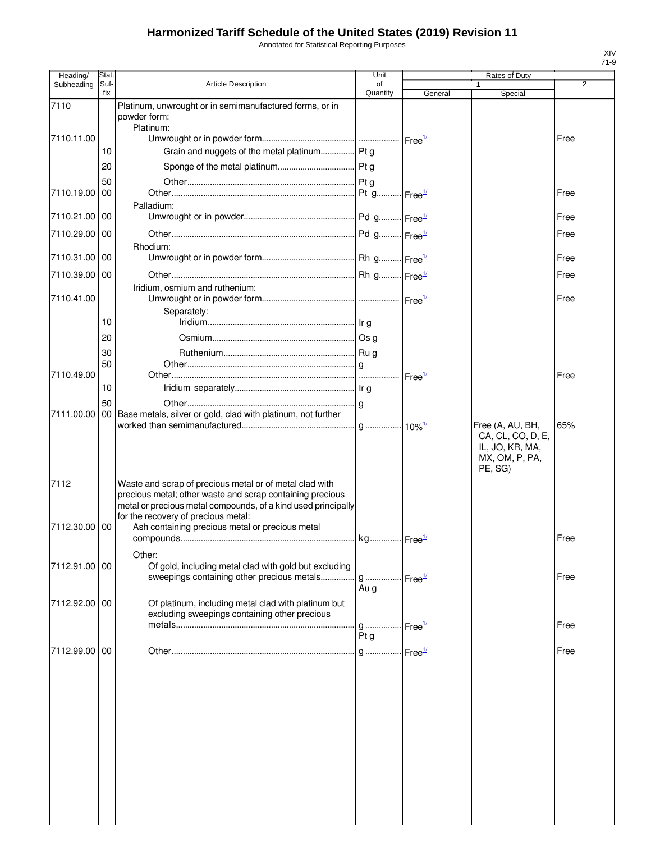Annotated for Statistical Reporting Purposes

| Heading/      | Stat. |                                                                 | Unit     |                    | Rates of Duty     |      |
|---------------|-------|-----------------------------------------------------------------|----------|--------------------|-------------------|------|
| Subheading    | Suf-  | <b>Article Description</b>                                      | of       |                    |                   | 2    |
|               | fix   |                                                                 | Quantity | General            | Special           |      |
| 7110          |       | Platinum, unwrought or in semimanufactured forms, or in         |          |                    |                   |      |
|               |       | powder form:<br>Platinum:                                       |          |                    |                   |      |
| 7110.11.00    |       |                                                                 |          |                    |                   | Free |
|               | 10    | Grain and nuggets of the metal platinum Pt g                    |          |                    |                   |      |
|               |       |                                                                 |          |                    |                   |      |
|               | 20    |                                                                 |          |                    |                   |      |
|               | 50    |                                                                 |          |                    |                   |      |
| 7110.19.00    | 00    |                                                                 |          |                    |                   | Free |
|               |       | Palladium:                                                      |          |                    |                   |      |
| 7110.21.00 00 |       |                                                                 |          |                    |                   | Free |
| 7110.29.00 00 |       |                                                                 |          |                    |                   | Free |
|               |       | Rhodium:                                                        |          |                    |                   |      |
| 7110.31.00 00 |       |                                                                 |          |                    |                   | Free |
|               |       |                                                                 |          |                    |                   |      |
| 7110.39.00 00 |       |                                                                 |          |                    |                   | Free |
|               |       | Iridium, osmium and ruthenium:                                  |          |                    |                   |      |
| 7110.41.00    |       |                                                                 |          |                    |                   | Free |
|               |       | Separately:                                                     |          |                    |                   |      |
|               | 10    |                                                                 |          |                    |                   |      |
|               | 20    |                                                                 |          |                    |                   |      |
|               | 30    |                                                                 |          |                    |                   |      |
|               | 50    |                                                                 |          |                    |                   |      |
| 7110.49.00    |       |                                                                 |          | Free <sup>1/</sup> |                   | Free |
|               | 10    |                                                                 |          |                    |                   |      |
|               |       |                                                                 |          |                    |                   |      |
| 7111.00.00    | 50    | 00 Base metals, silver or gold, clad with platinum, not further |          |                    |                   |      |
|               |       |                                                                 |          |                    | Free (A, AU, BH,  | 65%  |
|               |       |                                                                 |          |                    | CA, CL, CO, D, E, |      |
|               |       |                                                                 |          |                    | IL, JO, KR, MA,   |      |
|               |       |                                                                 |          |                    | MX, OM, P, PA,    |      |
|               |       |                                                                 |          |                    | PE, SG)           |      |
| 7112          |       | Waste and scrap of precious metal or of metal clad with         |          |                    |                   |      |
|               |       | precious metal; other waste and scrap containing precious       |          |                    |                   |      |
|               |       | metal or precious metal compounds, of a kind used principally   |          |                    |                   |      |
|               |       | for the recovery of precious metal:                             |          |                    |                   |      |
| 7112.30.00    | 00    | Ash containing precious metal or precious metal                 |          |                    |                   |      |
|               |       |                                                                 |          |                    |                   | Free |
|               |       | Other:                                                          |          |                    |                   |      |
| 7112.91.00 00 |       | Of gold, including metal clad with gold but excluding           |          |                    |                   |      |
|               |       | sweepings containing other precious metals                      | g        | Free <sup>1/</sup> |                   | Free |
|               |       |                                                                 | Au g     |                    |                   |      |
| 7112.92.00 00 |       | Of platinum, including metal clad with platinum but             |          |                    |                   |      |
|               |       | excluding sweepings containing other precious                   |          |                    |                   |      |
|               |       |                                                                 | $q$      | Free <sup>1/</sup> |                   | Free |
|               |       |                                                                 | Ptq      |                    |                   |      |
| 7112.99.00    | 00    |                                                                 |          |                    |                   | Free |
|               |       |                                                                 |          |                    |                   |      |
|               |       |                                                                 |          |                    |                   |      |
|               |       |                                                                 |          |                    |                   |      |
|               |       |                                                                 |          |                    |                   |      |
|               |       |                                                                 |          |                    |                   |      |
|               |       |                                                                 |          |                    |                   |      |
|               |       |                                                                 |          |                    |                   |      |
|               |       |                                                                 |          |                    |                   |      |
|               |       |                                                                 |          |                    |                   |      |
|               |       |                                                                 |          |                    |                   |      |
|               |       |                                                                 |          |                    |                   |      |
|               |       |                                                                 |          |                    |                   |      |
|               |       |                                                                 |          |                    |                   |      |
|               |       |                                                                 |          |                    |                   |      |
|               |       |                                                                 |          |                    |                   |      |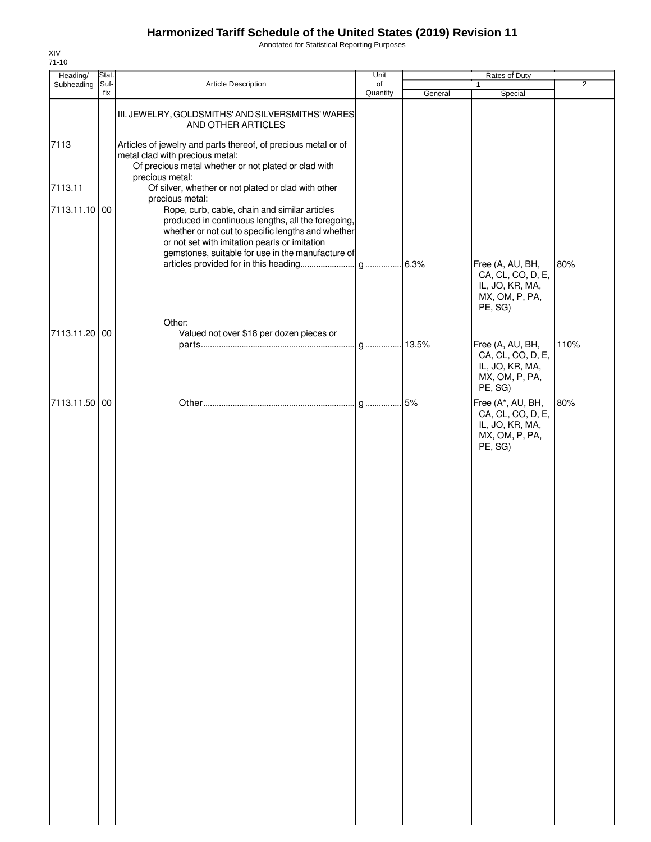Annotated for Statistical Reporting Purposes

| Heading/      | Stat.       |                                                                                                                                                                                                                | Unit           | Rates of Duty |                                                                                        |                |  |
|---------------|-------------|----------------------------------------------------------------------------------------------------------------------------------------------------------------------------------------------------------------|----------------|---------------|----------------------------------------------------------------------------------------|----------------|--|
| Subheading    | Suf-<br>fix | Article Description                                                                                                                                                                                            | of<br>Quantity | General       | $\mathbf{1}$<br>Special                                                                | $\overline{2}$ |  |
|               |             | III. JEWELRY, GOLDSMITHS' AND SILVERSMITHS' WARES<br>AND OTHER ARTICLES                                                                                                                                        |                |               |                                                                                        |                |  |
| 7113          |             | Articles of jewelry and parts thereof, of precious metal or of<br>metal clad with precious metal:<br>Of precious metal whether or not plated or clad with                                                      |                |               |                                                                                        |                |  |
| 7113.11       |             | precious metal:<br>Of silver, whether or not plated or clad with other                                                                                                                                         |                |               |                                                                                        |                |  |
| 7113.11.10 00 |             | precious metal:<br>Rope, curb, cable, chain and similar articles                                                                                                                                               |                |               |                                                                                        |                |  |
|               |             | produced in continuous lengths, all the foregoing,<br>whether or not cut to specific lengths and whether<br>or not set with imitation pearls or imitation<br>gemstones, suitable for use in the manufacture of |                |               |                                                                                        |                |  |
|               |             |                                                                                                                                                                                                                |                |               | Free (A, AU, BH,<br>CA, CL, CO, D, E,<br>IL, JO, KR, MA,<br>MX, OM, P, PA,<br>PE, SG)  | 80%            |  |
| 7113.11.20 00 |             | Other:<br>Valued not over \$18 per dozen pieces or                                                                                                                                                             |                |               |                                                                                        |                |  |
|               |             |                                                                                                                                                                                                                |                |               | Free (A, AU, BH,<br>CA, CL, CO, D, E,<br>IL, JO, KR, MA,<br>MX, OM, P, PA,<br>PE, SG)  | 110%           |  |
| 7113.11.50 00 |             |                                                                                                                                                                                                                |                |               | Free (A*, AU, BH,<br>CA, CL, CO, D, E,<br>IL, JO, KR, MA,<br>MX, OM, P, PA,<br>PE, SG) | 80%            |  |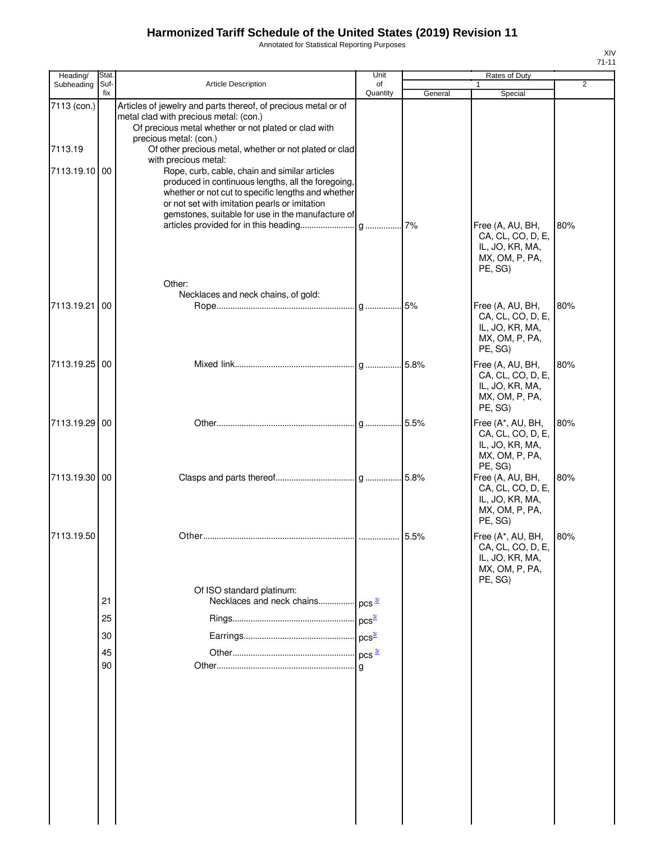Annotated for Statistical Reporting Purposes

| Heading/      | Stat.       |                                                                                                                                                                                                                                                                 | Unit           |         | Rates of Duty                                                                          |                |
|---------------|-------------|-----------------------------------------------------------------------------------------------------------------------------------------------------------------------------------------------------------------------------------------------------------------|----------------|---------|----------------------------------------------------------------------------------------|----------------|
| Subheading    | Suf-<br>fix | Article Description                                                                                                                                                                                                                                             | of<br>Quantity | General | 1<br>Special                                                                           | $\overline{2}$ |
| 7113 (con.)   |             | Articles of jewelry and parts thereof, of precious metal or of<br>metal clad with precious metal: (con.)<br>Of precious metal whether or not plated or clad with                                                                                                |                |         |                                                                                        |                |
| 7113.19       |             | precious metal: (con.)<br>Of other precious metal, whether or not plated or clad<br>with precious metal:                                                                                                                                                        |                |         |                                                                                        |                |
| 7113.19.10    | 00          | Rope, curb, cable, chain and similar articles<br>produced in continuous lengths, all the foregoing,<br>whether or not cut to specific lengths and whether<br>or not set with imitation pearls or imitation<br>gemstones, suitable for use in the manufacture of |                |         | Free (A, AU, BH,                                                                       | 80%            |
|               |             | Other:                                                                                                                                                                                                                                                          |                |         | CA, CL, CO, D, E,<br>IL, JO, KR, MA,<br>MX, OM, P, PA,<br>PE, SG)                      |                |
|               |             | Necklaces and neck chains, of gold:                                                                                                                                                                                                                             |                |         |                                                                                        |                |
| 7113.19.21    | 00          |                                                                                                                                                                                                                                                                 |                |         | Free (A, AU, BH,<br>CA, CL, CO, D, E,<br>IL, JO, KR, MA,<br>MX, OM, P, PA,<br>PE, SG)  | 80%            |
| 7113.19.25 00 |             |                                                                                                                                                                                                                                                                 |                |         | Free (A, AU, BH,<br>CA, CL, CO, D, E,<br>IL, JO, KR, MA,<br>MX, OM, P, PA,<br>PE, SG)  | 80%            |
| 7113.19.29 00 |             |                                                                                                                                                                                                                                                                 |                |         | Free (A*, AU, BH,<br>CA, CL, CO, D, E,<br>IL, JO, KR, MA,<br>MX, OM, P, PA,<br>PE, SG) | 80%            |
| 7113.19.30 00 |             |                                                                                                                                                                                                                                                                 |                |         | Free (A, AU, BH,<br>CA, CL, CO, D, E,<br>IL, JO, KR, MA,<br>MX, OM, P, PA,<br>PE, SG)  | 80%            |
| 7113.19.50    |             |                                                                                                                                                                                                                                                                 |                |         | Free (A*, AU, BH,<br>CA, CL, CO, D, E,<br>IL, JO, KR, MA,<br>MX, OM, P, PA,<br>PE, SG) | 80%            |
|               |             | Of ISO standard platinum:                                                                                                                                                                                                                                       |                |         |                                                                                        |                |
|               | 21          |                                                                                                                                                                                                                                                                 |                |         |                                                                                        |                |
|               | 25          |                                                                                                                                                                                                                                                                 |                |         |                                                                                        |                |
|               | 30          |                                                                                                                                                                                                                                                                 |                |         |                                                                                        |                |
|               | 45          |                                                                                                                                                                                                                                                                 |                |         |                                                                                        |                |
|               | 90          |                                                                                                                                                                                                                                                                 |                |         |                                                                                        |                |
|               |             |                                                                                                                                                                                                                                                                 |                |         |                                                                                        |                |
|               |             |                                                                                                                                                                                                                                                                 |                |         |                                                                                        |                |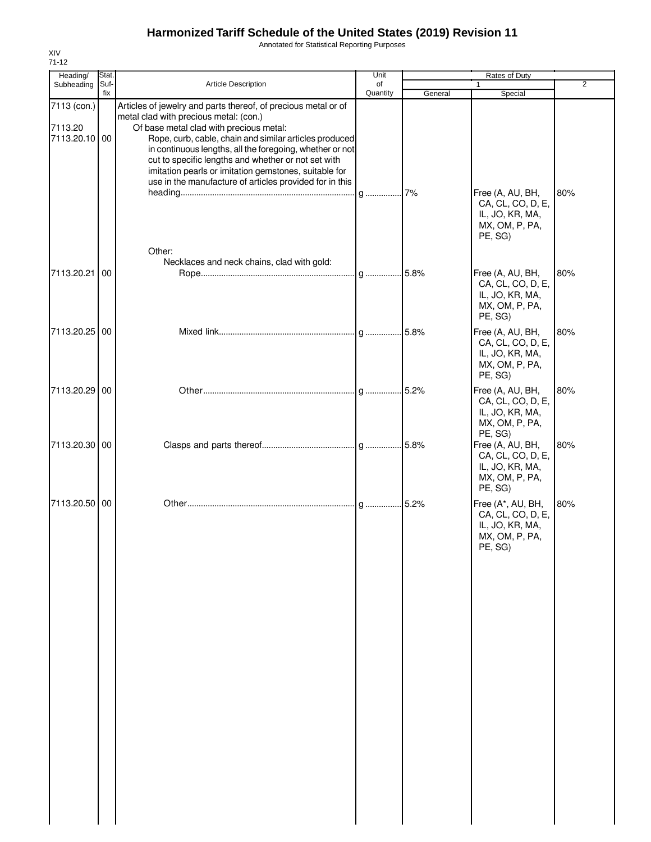Annotated for Statistical Reporting Purposes

| Heading/                                | Stat.       |                                                                                                                                                                                                                                                                                                                                                                                                                                                      | Unit           |         | Rates of Duty                                                                          |                |
|-----------------------------------------|-------------|------------------------------------------------------------------------------------------------------------------------------------------------------------------------------------------------------------------------------------------------------------------------------------------------------------------------------------------------------------------------------------------------------------------------------------------------------|----------------|---------|----------------------------------------------------------------------------------------|----------------|
| Subheading                              | Suf-<br>fix | Article Description                                                                                                                                                                                                                                                                                                                                                                                                                                  | of<br>Quantity | General | 1<br>Special                                                                           | $\overline{2}$ |
| 7113 (con.)<br>7113.20<br>7113.20.10 00 |             | Articles of jewelry and parts thereof, of precious metal or of<br>metal clad with precious metal: (con.)<br>Of base metal clad with precious metal:<br>Rope, curb, cable, chain and similar articles produced<br>in continuous lengths, all the foregoing, whether or not<br>cut to specific lengths and whether or not set with<br>imitation pearls or imitation gemstones, suitable for<br>use in the manufacture of articles provided for in this |                |         | Free (A, AU, BH,                                                                       | 80%            |
|                                         |             | Other:<br>Necklaces and neck chains, clad with gold:                                                                                                                                                                                                                                                                                                                                                                                                 |                |         | CA, CL, CO, D, E,<br>IL, JO, KR, MA,<br>MX, OM, P, PA,<br>PE, SG)                      |                |
| 7113.20.21                              | 00          |                                                                                                                                                                                                                                                                                                                                                                                                                                                      |                |         | Free (A, AU, BH,<br>CA, CL, CO, D, E,<br>IL, JO, KR, MA,<br>MX, OM, P, PA,<br>PE, SG)  | 80%            |
| 7113.20.25 00                           |             |                                                                                                                                                                                                                                                                                                                                                                                                                                                      |                |         | Free (A, AU, BH,<br>CA, CL, CO, D, E,<br>IL, JO, KR, MA,<br>MX, OM, P, PA,<br>PE, SG)  | 80%            |
| 7113.20.29                              | 00          |                                                                                                                                                                                                                                                                                                                                                                                                                                                      |                |         | Free (A, AU, BH,<br>CA, CL, CO, D, E,<br>IL, JO, KR, MA,<br>MX, OM, P, PA,<br>PE, SG)  | 80%            |
| 7113.20.30 00                           |             |                                                                                                                                                                                                                                                                                                                                                                                                                                                      |                |         | Free (A, AU, BH,<br>CA, CL, CO, D, E,<br>IL, JO, KR, MA,<br>MX, OM, P, PA,<br>PE, SG)  | 80%            |
| 7113.20.50 00                           |             |                                                                                                                                                                                                                                                                                                                                                                                                                                                      |                |         | Free (A*, AU, BH,<br>CA, CL, CO, D, E,<br>IL, JO, KR, MA,<br>MX, OM, P, PA,<br>PE, SG) | 80%            |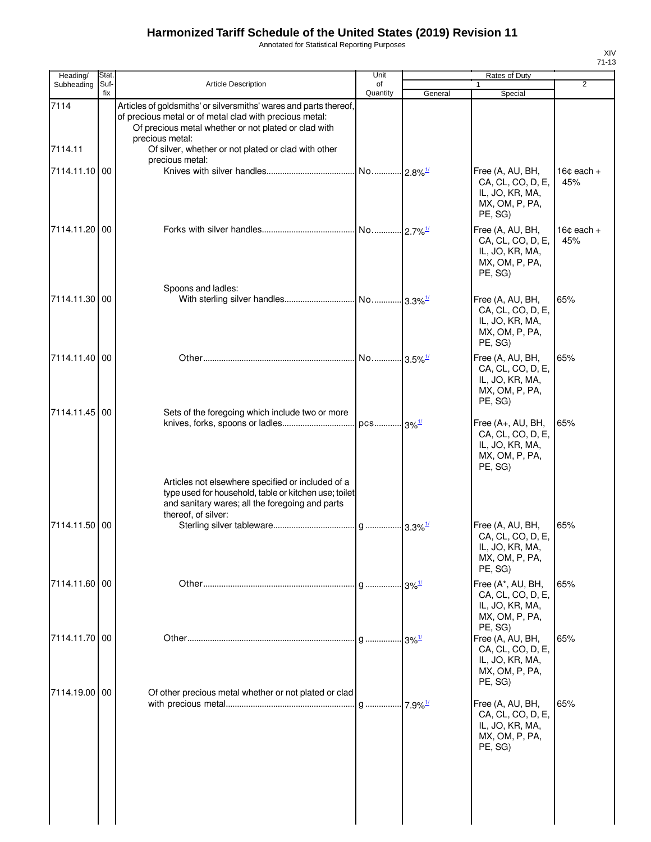Annotated for Statistical Reporting Purposes

| Heading/        | Stat.       |                                                                                                                                                                                                                                                                | Unit                  |         | Rates of Duty                                                                          |                               |
|-----------------|-------------|----------------------------------------------------------------------------------------------------------------------------------------------------------------------------------------------------------------------------------------------------------------|-----------------------|---------|----------------------------------------------------------------------------------------|-------------------------------|
| Subheading      | Suf-<br>fix | <b>Article Description</b>                                                                                                                                                                                                                                     | of<br>Quantity        | General | 1<br>Special                                                                           | $\overline{2}$                |
| 7114<br>7114.11 |             | Articles of goldsmiths' or silversmiths' wares and parts thereof,<br>of precious metal or of metal clad with precious metal:<br>Of precious metal whether or not plated or clad with<br>precious metal:<br>Of silver, whether or not plated or clad with other |                       |         |                                                                                        |                               |
|                 |             | precious metal:                                                                                                                                                                                                                                                |                       |         |                                                                                        |                               |
| 7114.11.10 00   |             |                                                                                                                                                                                                                                                                |                       |         | Free (A, AU, BH,<br>CA, CL, CO, D, E,<br>IL, JO, KR, MA,<br>MX, OM, P, PA,<br>PE, SG)  | $16¢$ each +<br>45%           |
| 7114.11.20 00   |             |                                                                                                                                                                                                                                                                | No 2.7% <sup>1/</sup> |         | Free (A, AU, BH,<br>CA, CL, CO, D, E,<br>IL, JO, KR, MA,<br>MX, OM, P, PA,<br>PE, SG)  | 16 $\texttt{c}$ each +<br>45% |
|                 |             | Spoons and ladles:                                                                                                                                                                                                                                             |                       |         |                                                                                        |                               |
| 7114.11.30 00   |             |                                                                                                                                                                                                                                                                |                       |         | Free (A, AU, BH,<br>CA, CL, CO, D, E,<br>IL, JO, KR, MA,<br>MX, OM, P, PA,<br>PE, SG)  | 65%                           |
| 7114.11.40 00   |             |                                                                                                                                                                                                                                                                | No 3.5% <sup>1/</sup> |         | Free (A, AU, BH,<br>CA, CL, CO, D, E,<br>IL, JO, KR, MA,<br>MX, OM, P, PA,<br>PE, SG)  | 65%                           |
| 7114.11.45 00   |             | Sets of the foregoing which include two or more                                                                                                                                                                                                                |                       |         |                                                                                        |                               |
|                 |             | Articles not elsewhere specified or included of a                                                                                                                                                                                                              |                       |         | Free (A+, AU, BH,<br>CA, CL, CO, D, E,<br>IL, JO, KR, MA,<br>MX, OM, P, PA,<br>PE, SG) | 65%                           |
|                 |             | type used for household, table or kitchen use; toilet<br>and sanitary wares; all the foregoing and parts<br>thereof, of silver:                                                                                                                                |                       |         |                                                                                        |                               |
| 7114.11.50 00   |             |                                                                                                                                                                                                                                                                |                       |         | Free (A, AU, BH,<br>CA, CL, CO, D, E,<br>IL, JO, KR, MA,<br>MX, OM, P, PA,<br>PE, SG)  | 65%                           |
| 7114.11.60 00   |             |                                                                                                                                                                                                                                                                |                       |         | Free (A*, AU, BH,<br>CA, CL, CO, D, E,<br>IL, JO, KR, MA,<br>MX, OM, P, PA,<br>PE, SG) | 65%                           |
| 7114.11.70 00   |             |                                                                                                                                                                                                                                                                |                       |         | Free (A, AU, BH,<br>CA, CL, CO, D, E,<br>IL, JO, KR, MA,<br>MX, OM, P, PA,<br>PE, SG)  | 65%                           |
| 7114.19.00 00   |             | Of other precious metal whether or not plated or clad                                                                                                                                                                                                          |                       |         | Free (A, AU, BH,<br>CA, CL, CO, D, E,<br>IL, JO, KR, MA,<br>MX, OM, P, PA,<br>PE, SG)  | 65%                           |
|                 |             |                                                                                                                                                                                                                                                                |                       |         |                                                                                        |                               |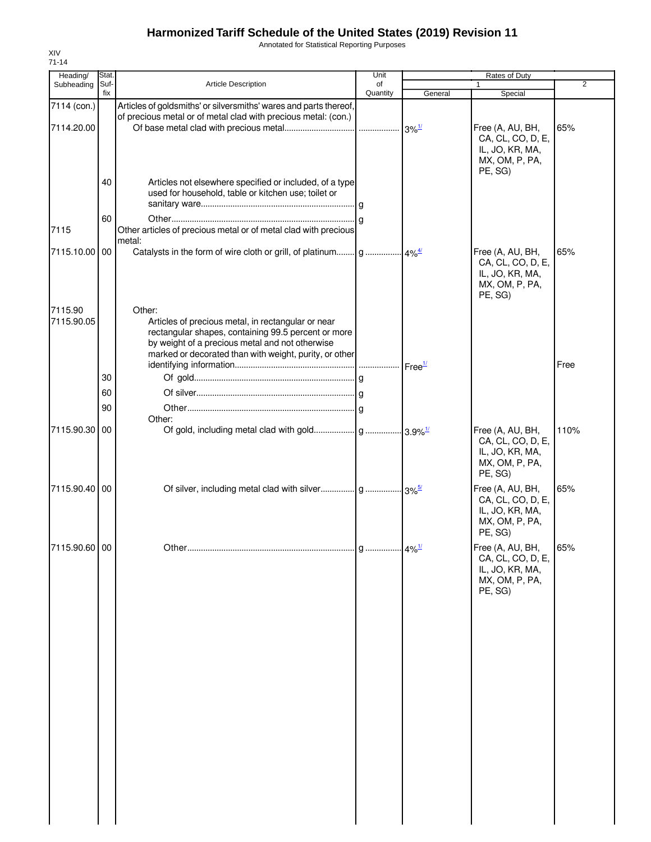Annotated for Statistical Reporting Purposes

| Heading/                  | Stat        |                                                                                                                                                                                                                                  | Unit           |         | Rates of Duty                                                                         |      |
|---------------------------|-------------|----------------------------------------------------------------------------------------------------------------------------------------------------------------------------------------------------------------------------------|----------------|---------|---------------------------------------------------------------------------------------|------|
| Subheading                | Suf-<br>fix | <b>Article Description</b>                                                                                                                                                                                                       | of<br>Quantity | General | $\mathbf{1}$<br>Special                                                               | 2    |
| 7114 (con.)<br>7114.20.00 |             | Articles of goldsmiths' or silversmiths' wares and parts thereof,<br>of precious metal or of metal clad with precious metal: (con.)                                                                                              |                |         | Free (A, AU, BH,<br>CA, CL, CO, D, E,<br>IL, JO, KR, MA,<br>MX, OM, P, PA,<br>PE, SG) | 65%  |
|                           | 40          | Articles not elsewhere specified or included, of a type<br>used for household, table or kitchen use; toilet or                                                                                                                   |                |         |                                                                                       |      |
| 7115                      | 60          | Other articles of precious metal or of metal clad with precious<br>metal:                                                                                                                                                        |                |         |                                                                                       |      |
| 7115.10.00 00             |             |                                                                                                                                                                                                                                  |                |         | Free (A, AU, BH,<br>CA, CL, CO, D, E,<br>IL, JO, KR, MA,<br>MX, OM, P, PA,<br>PE, SG) | 65%  |
| 7115.90<br>7115.90.05     |             | Other:<br>Articles of precious metal, in rectangular or near<br>rectangular shapes, containing 99.5 percent or more<br>by weight of a precious metal and not otherwise<br>marked or decorated than with weight, purity, or other |                |         |                                                                                       | Free |
|                           | 30          |                                                                                                                                                                                                                                  |                |         |                                                                                       |      |
|                           | 60          |                                                                                                                                                                                                                                  |                |         |                                                                                       |      |
|                           |             |                                                                                                                                                                                                                                  |                |         |                                                                                       |      |
|                           | 90          | Other:                                                                                                                                                                                                                           |                |         |                                                                                       |      |
| 7115.90.30 00             |             |                                                                                                                                                                                                                                  |                |         | Free (A, AU, BH,<br>CA, CL, CO, D, E,<br>IL, JO, KR, MA,<br>MX, OM, P, PA,<br>PE, SG) | 110% |
| 7115.90.40 00             |             |                                                                                                                                                                                                                                  |                |         | Free (A, AU, BH,<br>CA, CL, CO, D, E,<br>IL, JO, KR, MA,<br>MX, OM, P, PA,<br>PE, SG) | 65%  |
| 7115.90.60 00             |             |                                                                                                                                                                                                                                  |                |         | Free (A, AU, BH,<br>CA, CL, CO, D, E,<br>IL, JO, KR, MA,<br>MX, OM, P, PA,<br>PE, SG) | 65%  |
|                           |             |                                                                                                                                                                                                                                  |                |         |                                                                                       |      |
|                           |             |                                                                                                                                                                                                                                  |                |         |                                                                                       |      |
|                           |             |                                                                                                                                                                                                                                  |                |         |                                                                                       |      |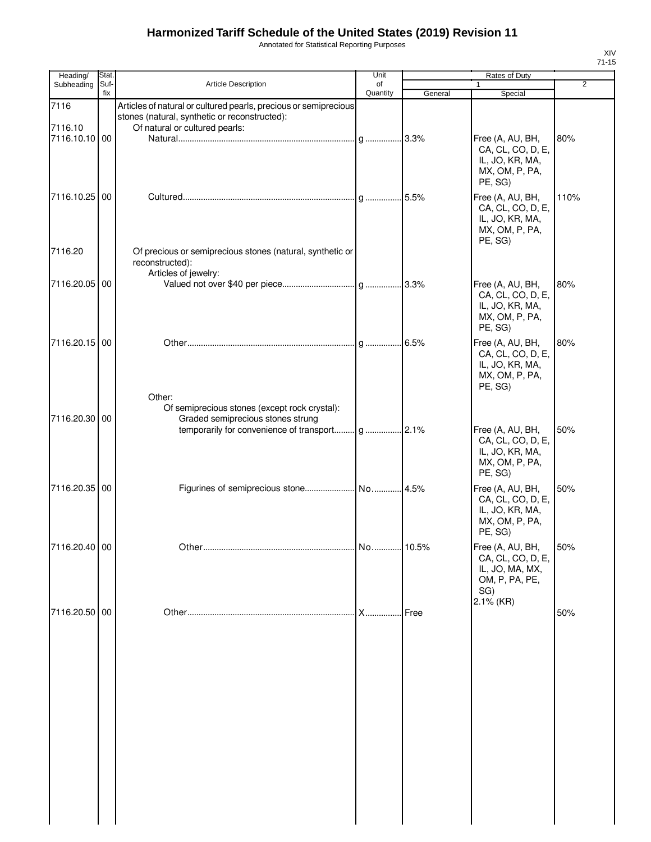Annotated for Statistical Reporting Purposes

| Heading/        | Stat. |                                                                                                                                                     | Unit     |         | Rates of Duty                                                                         |                |
|-----------------|-------|-----------------------------------------------------------------------------------------------------------------------------------------------------|----------|---------|---------------------------------------------------------------------------------------|----------------|
| Subheading      | Suf-  | <b>Article Description</b>                                                                                                                          | of       |         | $\mathbf{1}$                                                                          | $\overline{2}$ |
|                 | fix   |                                                                                                                                                     | Quantity | General | Special                                                                               |                |
| 7116<br>7116.10 |       | Articles of natural or cultured pearls, precious or semiprecious<br>stones (natural, synthetic or reconstructed):<br>Of natural or cultured pearls: |          |         |                                                                                       |                |
| 7116.10.10 00   |       |                                                                                                                                                     |          |         | Free (A, AU, BH,<br>CA, CL, CO, D, E,<br>IL, JO, KR, MA,<br>MX, OM, P, PA,<br>PE, SG) | 80%            |
| 7116.10.25 00   |       |                                                                                                                                                     |          |         | Free (A, AU, BH,<br>CA, CL, CO, D, E,<br>IL, JO, KR, MA,<br>MX, OM, P, PA,<br>PE, SG) | 110%           |
| 7116.20         |       | Of precious or semiprecious stones (natural, synthetic or<br>reconstructed):<br>Articles of jewelry:                                                |          |         |                                                                                       |                |
| 7116.20.05 00   |       |                                                                                                                                                     |          |         | Free (A, AU, BH,<br>CA, CL, CO, D, E,<br>IL, JO, KR, MA,<br>MX, OM, P, PA,<br>PE, SG) | 80%            |
| 7116.20.15 00   |       |                                                                                                                                                     |          |         | Free (A, AU, BH,<br>CA, CL, CO, D, E,<br>IL, JO, KR, MA,<br>MX, OM, P, PA,<br>PE, SG) | 80%            |
| 7116.20.30 00   |       | Other:<br>Of semiprecious stones (except rock crystal):<br>Graded semiprecious stones strung                                                        |          |         |                                                                                       |                |
|                 |       |                                                                                                                                                     |          |         | Free (A, AU, BH,<br>CA, CL, CO, D, E,<br>IL, JO, KR, MA,<br>MX, OM, P, PA,<br>PE, SG) | 50%            |
| 7116.20.35 00   |       |                                                                                                                                                     |          |         | Free (A, AU, BH,<br>CA, CL, CO, D, E,<br>IL, JO, KR, MA,<br>MX, OM, P, PA,<br>PE, SG) | 50%            |
| 7116.20.40 00   |       |                                                                                                                                                     |          |         | Free (A, AU, BH,<br>CA, CL, CO, D, E,<br>IL, JO, MA, MX,<br>OM, P, PA, PE,<br>SG)     | 50%            |
| 7116.20.50 00   |       |                                                                                                                                                     |          | Free    | 2.1% (KR)                                                                             | 50%            |
|                 |       |                                                                                                                                                     |          |         |                                                                                       |                |
|                 |       |                                                                                                                                                     |          |         |                                                                                       |                |
|                 |       |                                                                                                                                                     |          |         |                                                                                       |                |
|                 |       |                                                                                                                                                     |          |         |                                                                                       |                |
|                 |       |                                                                                                                                                     |          |         |                                                                                       |                |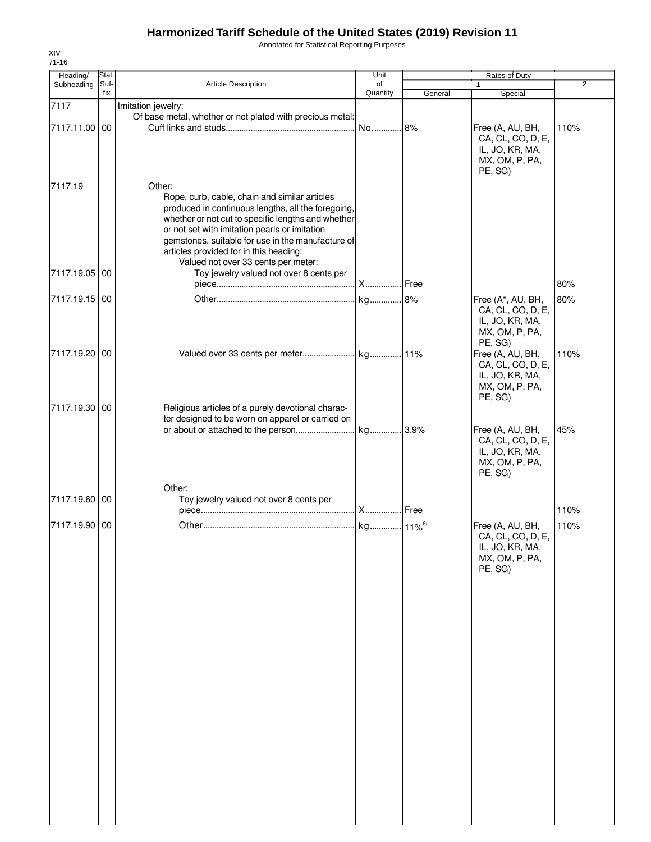Annotated for Statistical Reporting Purposes

| Heading/<br>Subheading | Stat.<br>Suf- | Article Description                                                                                                                                                                                                                                                                                                                              |                | Rates of Duty<br>$\overline{2}$<br>$\mathbf{1}$ |                                                                                       |      |
|------------------------|---------------|--------------------------------------------------------------------------------------------------------------------------------------------------------------------------------------------------------------------------------------------------------------------------------------------------------------------------------------------------|----------------|-------------------------------------------------|---------------------------------------------------------------------------------------|------|
|                        | fix           |                                                                                                                                                                                                                                                                                                                                                  | of<br>Quantity | General                                         | Special                                                                               |      |
| 7117<br>7117.11.00 00  |               | Imitation jewelry:<br>Of base metal, whether or not plated with precious metal:                                                                                                                                                                                                                                                                  |                |                                                 | Free (A, AU, BH,<br>CA, CL, CO, D, E,                                                 | 110% |
| 7117.19                |               | Other:                                                                                                                                                                                                                                                                                                                                           |                |                                                 | IL, JO, KR, MA,<br>MX, OM, P, PA,<br>PE, SG)                                          |      |
|                        |               | Rope, curb, cable, chain and similar articles<br>produced in continuous lengths, all the foregoing,<br>whether or not cut to specific lengths and whether<br>or not set with imitation pearls or imitation<br>gemstones, suitable for use in the manufacture of<br>articles provided for in this heading:<br>Valued not over 33 cents per meter: |                |                                                 |                                                                                       |      |
| 7117.19.05 00          |               | Toy jewelry valued not over 8 cents per                                                                                                                                                                                                                                                                                                          |                | . Free                                          |                                                                                       | 80%  |
| 7117.19.15 00          |               |                                                                                                                                                                                                                                                                                                                                                  |                |                                                 | Free (A*, AU, BH,                                                                     | 80%  |
|                        |               |                                                                                                                                                                                                                                                                                                                                                  |                |                                                 | CA, CL, CO, D, E,<br>IL, JO, KR, MA,<br>MX, OM, P, PA,<br>PE, SG)                     |      |
| 7117.19.20 00          |               |                                                                                                                                                                                                                                                                                                                                                  |                |                                                 | Free (A, AU, BH,<br>CA, CL, CO, D, E,<br>IL, JO, KR, MA,<br>MX, OM, P, PA,<br>PE, SG) | 110% |
| 7117.19.30 00          |               | Religious articles of a purely devotional charac-                                                                                                                                                                                                                                                                                                |                |                                                 |                                                                                       |      |
|                        |               | ter designed to be worn on apparel or carried on                                                                                                                                                                                                                                                                                                 |                |                                                 | Free (A, AU, BH,<br>CA, CL, CO, D, E,<br>IL, JO, KR, MA,<br>MX, OM, P, PA,            | 45%  |
|                        |               |                                                                                                                                                                                                                                                                                                                                                  |                |                                                 | PE, SG)                                                                               |      |
| 7117.19.60 00          |               | Other:<br>Toy jewelry valued not over 8 cents per                                                                                                                                                                                                                                                                                                |                |                                                 |                                                                                       | 110% |
| 7117.19.90 00          |               |                                                                                                                                                                                                                                                                                                                                                  |                |                                                 | Free (A, AU, BH,<br>CA, CL, CO, D, E,<br>IL, JO, KR, MA,<br>MX, OM, P, PA,<br>PE, SG) | 110% |
|                        |               |                                                                                                                                                                                                                                                                                                                                                  |                |                                                 |                                                                                       |      |
|                        |               |                                                                                                                                                                                                                                                                                                                                                  |                |                                                 |                                                                                       |      |
|                        |               |                                                                                                                                                                                                                                                                                                                                                  |                |                                                 |                                                                                       |      |
|                        |               |                                                                                                                                                                                                                                                                                                                                                  |                |                                                 |                                                                                       |      |
|                        |               |                                                                                                                                                                                                                                                                                                                                                  |                |                                                 |                                                                                       |      |
|                        |               |                                                                                                                                                                                                                                                                                                                                                  |                |                                                 |                                                                                       |      |
|                        |               |                                                                                                                                                                                                                                                                                                                                                  |                |                                                 |                                                                                       |      |

XIV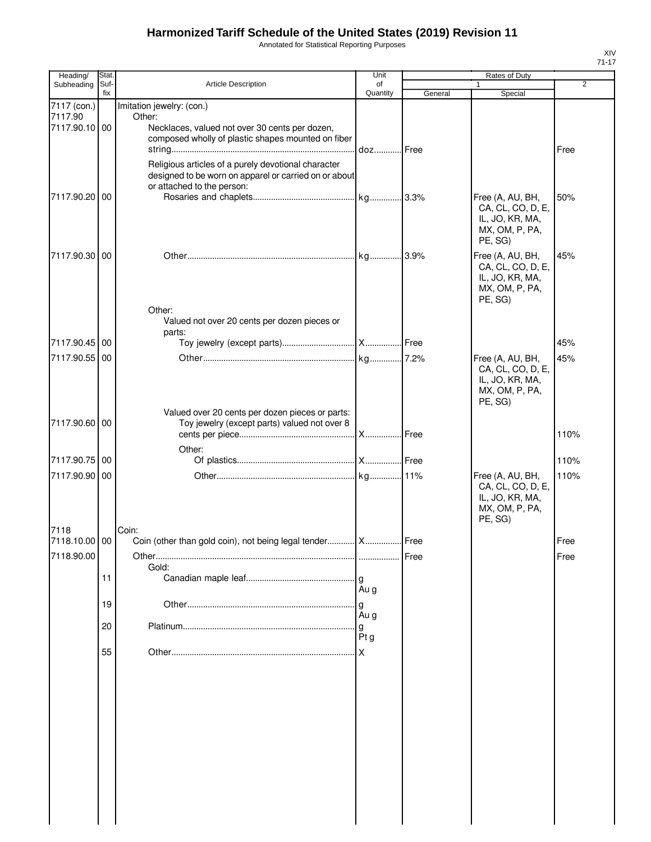Annotated for Statistical Reporting Purposes

| Heading/               | Stat.       |                                                                                                                                            | Unit           | Rates of Duty |                                                                                       |                |  |
|------------------------|-------------|--------------------------------------------------------------------------------------------------------------------------------------------|----------------|---------------|---------------------------------------------------------------------------------------|----------------|--|
| Subheading             | Suf-<br>fix | Article Description                                                                                                                        | of<br>Quantity | General       | 1                                                                                     | $\overline{2}$ |  |
| 7117 (con.)<br>7117.90 |             | Imitation jewelry: (con.)<br>Other:                                                                                                        |                |               | Special                                                                               |                |  |
| 7117.90.10 00          |             | Necklaces, valued not over 30 cents per dozen,<br>composed wholly of plastic shapes mounted on fiber                                       | doz Free       |               |                                                                                       | Free           |  |
|                        |             | Religious articles of a purely devotional character<br>designed to be worn on apparel or carried on or about<br>or attached to the person: |                |               |                                                                                       |                |  |
| 7117.90.20 00          |             |                                                                                                                                            |                |               | Free (A, AU, BH,<br>CA, CL, CO, D, E,<br>IL, JO, KR, MA,<br>MX, OM, P, PA,<br>PE, SG) | 50%            |  |
| 7117.90.30 00          |             |                                                                                                                                            |                |               | Free (A, AU, BH,<br>CA, CL, CO, D, E,<br>IL, JO, KR, MA,<br>MX, OM, P, PA,<br>PE, SG) | 45%            |  |
|                        |             | Other:<br>Valued not over 20 cents per dozen pieces or<br>parts:                                                                           |                |               |                                                                                       |                |  |
| 7117.90.45 00          |             |                                                                                                                                            |                |               |                                                                                       | 45%            |  |
| 7117.90.55             | 00          |                                                                                                                                            |                |               | Free (A, AU, BH,<br>CA, CL, CO, D, E,<br>IL, JO, KR, MA,<br>MX, OM, P, PA,<br>PE, SG) | 45%            |  |
| 7117.90.60 00          |             | Valued over 20 cents per dozen pieces or parts:<br>Toy jewelry (except parts) valued not over 8                                            |                |               |                                                                                       | 110%           |  |
|                        |             | Other:                                                                                                                                     |                |               |                                                                                       |                |  |
| 7117.90.75 00          |             |                                                                                                                                            |                |               |                                                                                       | 110%           |  |
| 7117.90.90 00          |             |                                                                                                                                            |                |               | Free (A, AU, BH,<br>CA, CL, CO, D, E,<br>IL, JO, KR, MA,<br>MX, OM, P, PA,<br>PE, SG) | 110%           |  |
| 7118<br>7118.10.00 00  |             | Coin:<br>Coin (other than gold coin), not being legal tender  X  Free                                                                      |                |               |                                                                                       | Free           |  |
| 7118.90.00             |             |                                                                                                                                            |                | Free          |                                                                                       | Free           |  |
|                        | 11          | Gold:                                                                                                                                      |                |               |                                                                                       |                |  |
|                        |             |                                                                                                                                            | Au g           |               |                                                                                       |                |  |
|                        | 19          |                                                                                                                                            | g              |               |                                                                                       |                |  |
|                        | 20          |                                                                                                                                            | Au g<br>g      |               |                                                                                       |                |  |
|                        | 55          |                                                                                                                                            | Ptg            |               |                                                                                       |                |  |
|                        |             |                                                                                                                                            |                |               |                                                                                       |                |  |
|                        |             |                                                                                                                                            |                |               |                                                                                       |                |  |
|                        |             |                                                                                                                                            |                |               |                                                                                       |                |  |
|                        |             |                                                                                                                                            |                |               |                                                                                       |                |  |
|                        |             |                                                                                                                                            |                |               |                                                                                       |                |  |
|                        |             |                                                                                                                                            |                |               |                                                                                       |                |  |